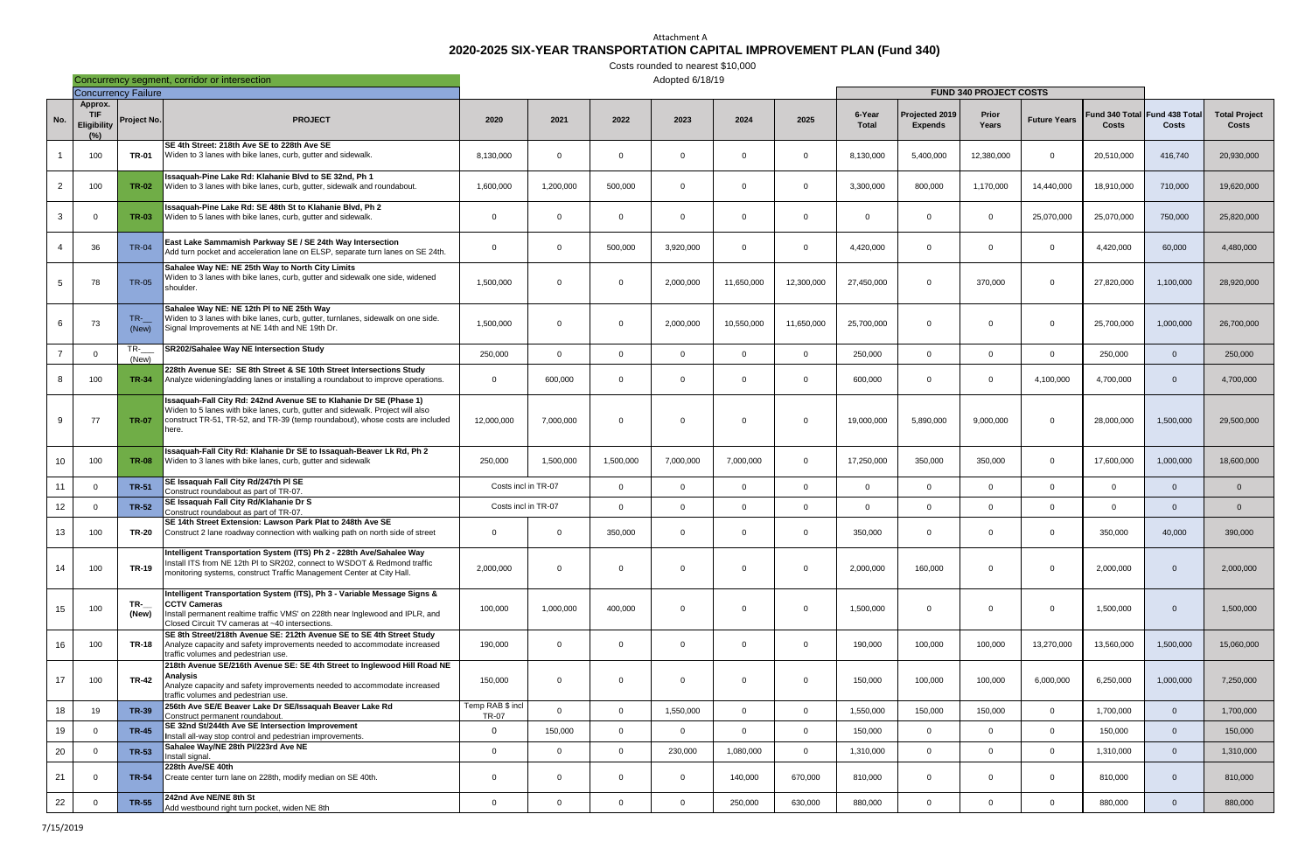## Attachment A **2020-2025 SIX-YEAR TRANSPORTATION CAPITAL IMPROVEMENT PLAN (Fund 340)**

|                |                                              |                | Concurrency segment, corridor or intersection                                                                                                                                                                                                  |                                  |                |              | Adopted 6/18/19 |                |                |                        |                                  |                |                     |            |                                               |                                      |
|----------------|----------------------------------------------|----------------|------------------------------------------------------------------------------------------------------------------------------------------------------------------------------------------------------------------------------------------------|----------------------------------|----------------|--------------|-----------------|----------------|----------------|------------------------|----------------------------------|----------------|---------------------|------------|-----------------------------------------------|--------------------------------------|
|                | <b>Concurrency Failure</b>                   |                |                                                                                                                                                                                                                                                |                                  |                |              |                 |                |                |                        | <b>FUND 340 PROJECT COSTS</b>    |                |                     |            |                                               |                                      |
| No.            | Approx.<br><b>TIF</b><br>Eligibility<br>(% ) | Project No.    | <b>PROJECT</b>                                                                                                                                                                                                                                 | 2020                             | 2021           | 2022         | 2023            | 2024           | 2025           | 6-Year<br><b>Total</b> | Projected 2019<br><b>Expends</b> | Prior<br>Years | <b>Future Years</b> | Costs      | Fund 340 Total Fund 438 Total<br><b>Costs</b> | <b>Total Project</b><br><b>Costs</b> |
|                | 100                                          | <b>TR-01</b>   | SE 4th Street: 218th Ave SE to 228th Ave SE<br>Widen to 3 lanes with bike lanes, curb, gutter and sidewalk                                                                                                                                     | 8,130,000                        | $\Omega$       | $\Omega$     | $\Omega$        | $\mathbf 0$    | $\mathbf 0$    | 8,130,000              | 5,400,000                        | 12,380,000     | $\overline{0}$      | 20,510,000 | 416,740                                       | 20,930,000                           |
| $\overline{2}$ | 100                                          | <b>TR-02</b>   | Issaquah-Pine Lake Rd: Klahanie Blvd to SE 32nd, Ph 1<br>Widen to 3 lanes with bike lanes, curb, gutter, sidewalk and roundabout.                                                                                                              | 1,600,000                        | 1,200,000      | 500,000      | $\Omega$        | $\mathbf 0$    | $\mathbf 0$    | 3,300,000              | 800,000                          | 1,170,000      | 14,440,000          | 18,910,000 | 710,000                                       | 19,620,000                           |
| $\mathbf{3}$   |                                              | <b>TR-03</b>   | Issaquah-Pine Lake Rd: SE 48th St to Klahanie Blvd, Ph 2<br>Widen to 5 lanes with bike lanes, curb, gutter and sidewalk.                                                                                                                       | $\Omega$                         | $\Omega$       | $\Omega$     | $\Omega$        | $\mathbf 0$    | $\mathbf 0$    | $\Omega$               | $\Omega$                         | $\Omega$       | 25,070,000          | 25,070,000 | 750,000                                       | 25,820,000                           |
| -4             | 36                                           | <b>TR-04</b>   | East Lake Sammamish Parkway SE / SE 24th Way Intersection<br>Add turn pocket and acceleration lane on ELSP, separate turn lanes on SE 24th.                                                                                                    | $\Omega$                         | $\Omega$       | 500,000      | 3,920,000       | $\mathbf 0$    | $\Omega$       | 4,420,000              | $\Omega$                         | $\Omega$       | $\Omega$            | 4,420,000  | 60,000                                        | 4,480,000                            |
| -5             | 78                                           | <b>TR-05</b>   | Sahalee Way NE: NE 25th Way to North City Limits<br>Widen to 3 lanes with bike lanes, curb, gutter and sidewalk one side, widened<br>shoulder.                                                                                                 | 1,500,000                        | $\Omega$       | $\Omega$     | 2,000,000       | 11,650,000     | 12,300,000     | 27,450,000             | $\Omega$                         | 370,000        | $\Omega$            | 27,820,000 | 1,100,000                                     | 28,920,000                           |
| 6              | -73                                          | $TR-$<br>(New) | Sahalee Way NE: NE 12th PI to NE 25th Way<br>Widen to 3 lanes with bike lanes, curb, gutter, turnlanes, sidewalk on one side.<br>Signal Improvements at NE 14th and NE 19th Dr.                                                                | 1,500,000                        | $\Omega$       | $\Omega$     | 2,000,000       | 10,550,000     | 11,650,000     | 25,700,000             | $\Omega$                         | $\Omega$       | $\overline{0}$      | 25,700,000 | 1,000,000                                     | 26,700,000                           |
| $\overline{7}$ | $\Omega$                                     | $TR-$<br>(New) | SR202/Sahalee Way NE Intersection Study                                                                                                                                                                                                        | 250,000                          | $\Omega$       | $\Omega$     | $\Omega$        | $\Omega$       | $\overline{0}$ | 250,000                | $\Omega$                         | $\Omega$       | $\overline{0}$      | 250,000    | $\Omega$                                      | 250,000                              |
| -8             | 100                                          | <b>TR-34</b>   | 228th Avenue SE: SE 8th Street & SE 10th Street Intersections Study<br>Analyze widening/adding lanes or installing a roundabout to improve operations.                                                                                         | $\overline{0}$                   | 600,000        | $\Omega$     | $\Omega$        | $\mathbf 0$    | $\Omega$       | 600,000                | $\Omega$                         | $\Omega$       | 4,100,000           | 4,700,000  | $\Omega$                                      | 4,700,000                            |
| -9             | 77                                           | <b>TR-07</b>   | Issaquah-Fall City Rd: 242nd Avenue SE to Klahanie Dr SE (Phase 1)<br>Widen to 5 lanes with bike lanes, curb, gutter and sidewalk. Project will also<br>construct TR-51, TR-52, and TR-39 (temp roundabout), whose costs are included<br>here. | 12,000,000                       | 7,000,000      | $\Omega$     | $\Omega$        | $\mathbf 0$    | $\Omega$       | 19,000,000             | 5,890,000                        | 9,000,000      | $\Omega$            | 28,000,000 | 1,500,000                                     | 29,500,000                           |
| 10             | 100                                          | <b>TR-08</b>   | Issaquah-Fall City Rd: Klahanie Dr SE to Issaquah-Beaver Lk Rd, Ph 2<br>Widen to 3 lanes with bike lanes, curb, gutter and sidewalk                                                                                                            | 250,000                          | 1,500,000      | 1,500,000    | 7,000,000       | 7,000,000      | $\mathbf 0$    | 17,250,000             | 350,000                          | 350,000        | $\overline{0}$      | 17,600,000 | 1,000,000                                     | 18,600,000                           |
| 11             |                                              | <b>TR-51</b>   | SE Issaquah Fall City Rd/247th PI SE<br>Construct roundabout as part of TR-07.                                                                                                                                                                 | Costs incl in TR-07              |                | $\Omega$     | $\Omega$        | $\Omega$       | $\Omega$       | 0                      | $\Omega$                         | $\Omega$       | $\Omega$            | $\Omega$   | $\Omega$                                      | $\Omega$                             |
| 12             |                                              | <b>TR-52</b>   | SE Issaquah Fall City Rd/Klahanie Dr S<br>Construct roundabout as part of TR-07.                                                                                                                                                               | Costs incl in TR-07              |                | $\Omega$     | $\Omega$        | $\Omega$       | $\mathbf 0$    | $\Omega$               | $\Omega$                         | $\Omega$       | $\overline{0}$      | $\Omega$   | $\Omega$                                      | $\Omega$                             |
| 13             | 100                                          | TR-20          | SE 14th Street Extension: Lawson Park Plat to 248th Ave SE<br>Construct 2 lane roadway connection with walking path on north side of street                                                                                                    | $\Omega$                         | $\Omega$       | 350,000      | $\overline{0}$  | $\mathbf 0$    | $\mathbf 0$    | 350,000                | $\Omega$                         | $\Omega$       | $\overline{0}$      | 350,000    | 40,000                                        | 390,000                              |
| 14             | 100                                          | <b>TR-19</b>   | Intelligent Transportation System (ITS) Ph 2 - 228th Ave/Sahalee Way<br>Install ITS from NE 12th PI to SR202, connect to WSDOT & Redmond traffic<br>monitoring systems, construct Traffic Management Center at City Hall.                      | 2,000,000                        | $\overline{0}$ | $\Omega$     | $\overline{0}$  | $\mathbf 0$    | $\Omega$       | 2,000,000              | 160,000                          | $\mathbf 0$    | $\overline{0}$      | 2,000,000  | $\Omega$                                      | 2,000,000                            |
| 15             | 100                                          | $TR-$<br>(New) | Intelligent Transportation System (ITS), Ph 3 - Variable Message Signs &<br><b>CCTV Cameras</b><br>Install permanent realtime traffic VMS' on 228th near Inglewood and IPLR, and<br>Closed Circuit TV cameras at ~40 intersections.            | 100,000                          | 1,000,000      | 400,000      | $\overline{0}$  | $\mathbf 0$    | $\mathbf 0$    | 1,500,000              | $\overline{0}$                   | $\mathbf 0$    | $\overline{0}$      | 1,500,000  | $\overline{0}$                                | 1,500,000                            |
| 16             | 100                                          | TR-18          | SE 8th Street/218th Avenue SE: 212th Avenue SE to SE 4th Street Study<br>Analyze capacity and safety improvements needed to accommodate increased<br>traffic volumes and pedestrian use.                                                       | 190,000                          | $\overline{0}$ | $\Omega$     | $\overline{0}$  | $\overline{0}$ | $\mathbf 0$    | 190,000                | 100,000                          | 100,000        | 13,270,000          | 13,560,000 | 1,500,000                                     | 15,060,000                           |
| 17             | 100                                          | <b>TR-42</b>   | 218th Avenue SE/216th Avenue SE: SE 4th Street to Inglewood Hill Road NE<br><b>Analysis</b><br>Analyze capacity and safety improvements needed to accommodate increased<br>traffic volumes and pedestrian use.                                 | 150,000                          | $\overline{0}$ | $\Omega$     | $\overline{0}$  | $\mathbf 0$    | $\mathbf 0$    | 150,000                | 100,000                          | 100,000        | 6,000,000           | 6,250,000  | 1,000,000                                     | 7,250,000                            |
| 18             | 19                                           | <b>TR-39</b>   | 256th Ave SE/E Beaver Lake Dr SE/Issaquah Beaver Lake Rd<br>Construct permanent roundabout.                                                                                                                                                    | Temp RAB \$ incl<br><b>TR-07</b> | $\overline{0}$ | $\mathbf{0}$ | 1,550,000       | $\overline{0}$ | $\mathbf 0$    | 1,550,000              | 150,000                          | 150,000        | $\overline{0}$      | 1,700,000  | $\overline{0}$                                | 1,700,000                            |
| 19             | $\Omega$                                     | <b>TR-45</b>   | SE 32nd St/244th Ave SE Intersection Improvement<br>Install all-way stop control and pedestrian improvements.                                                                                                                                  | $\overline{0}$                   | 150,000        | $\Omega$     | $\Omega$        | $\Omega$       | $\overline{0}$ | 150,000                | $\overline{0}$                   | $\Omega$       | $\overline{0}$      | 150,000    | $\Omega$                                      | 150,000                              |
| $20\,$         | $\Omega$                                     | <b>TR-53</b>   | Sahalee Way/NE 28th Pl/223rd Ave NE<br>Install signal.                                                                                                                                                                                         | $\overline{0}$                   | $\overline{0}$ | $\Omega$     | 230,000         | 1,080,000      | $\mathbf 0$    | 1,310,000              | $\overline{0}$                   | $\overline{0}$ | $\overline{0}$      | 1,310,000  | $\Omega$                                      | 1,310,000                            |
| 21             | $\Omega$                                     | <b>TR-54</b>   | 228th Ave/SE 40th<br>Create center turn lane on 228th, modify median on SE 40th.                                                                                                                                                               | $\overline{0}$                   | $\overline{0}$ | $\Omega$     | $\overline{0}$  | 140,000        | 670,000        | 810,000                | $\overline{0}$                   | $\overline{0}$ | $\mathbf 0$         | 810,000    | $\overline{0}$                                | 810,000                              |
| 22             | $\Omega$                                     | <b>TR-55</b>   | 242nd Ave NE/NE 8th St<br>Add westbound right turn pocket, widen NE 8th                                                                                                                                                                        | $\mathbf 0$                      | $\mathbf 0$    | $\Omega$     | $\overline{0}$  | 250,000        | 630,000        | 880,000                | $\overline{0}$                   | $\mathbf 0$    | $\overline{0}$      | 880,000    | $\Omega$                                      | 880,000                              |

Costs rounded to nearest \$10,000